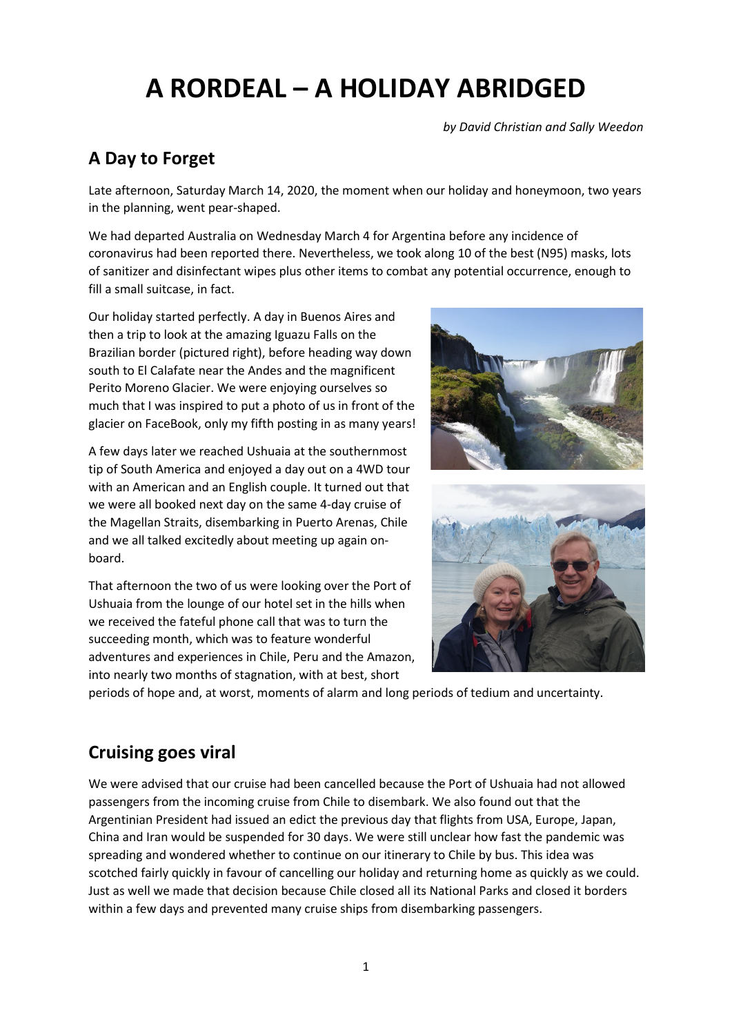# **A RORDEAL – A HOLIDAY ABRIDGED**

*by David Christian and Sally Weedon*

## **A Day to Forget**

Late afternoon, Saturday March 14, 2020, the moment when our holiday and honeymoon, two years in the planning, went pear-shaped.

We had departed Australia on Wednesday March 4 for Argentina before any incidence of coronavirus had been reported there. Nevertheless, we took along 10 of the best (N95) masks, lots of sanitizer and disinfectant wipes plus other items to combat any potential occurrence, enough to fill a small suitcase, in fact.

Our holiday started perfectly. A day in Buenos Aires and then a trip to look at the amazing Iguazu Falls on the Brazilian border (pictured right), before heading way down south to El Calafate near the Andes and the magnificent Perito Moreno Glacier. We were enjoying ourselves so much that I was inspired to put a photo of us in front of the glacier on FaceBook, only my fifth posting in as many years!

A few days later we reached Ushuaia at the southernmost tip of South America and enjoyed a day out on a 4WD tour with an American and an English couple. It turned out that we were all booked next day on the same 4-day cruise of the Magellan Straits, disembarking in Puerto Arenas, Chile and we all talked excitedly about meeting up again onboard.

That afternoon the two of us were looking over the Port of Ushuaia from the lounge of our hotel set in the hills when we received the fateful phone call that was to turn the succeeding month, which was to feature wonderful adventures and experiences in Chile, Peru and the Amazon, into nearly two months of stagnation, with at best, short





periods of hope and, at worst, moments of alarm and long periods of tedium and uncertainty.

# **Cruising goes viral**

We were advised that our cruise had been cancelled because the Port of Ushuaia had not allowed passengers from the incoming cruise from Chile to disembark. We also found out that the Argentinian President had issued an edict the previous day that flights from USA, Europe, Japan, China and Iran would be suspended for 30 days. We were still unclear how fast the pandemic was spreading and wondered whether to continue on our itinerary to Chile by bus. This idea was scotched fairly quickly in favour of cancelling our holiday and returning home as quickly as we could. Just as well we made that decision because Chile closed all its National Parks and closed it borders within a few days and prevented many cruise ships from disembarking passengers.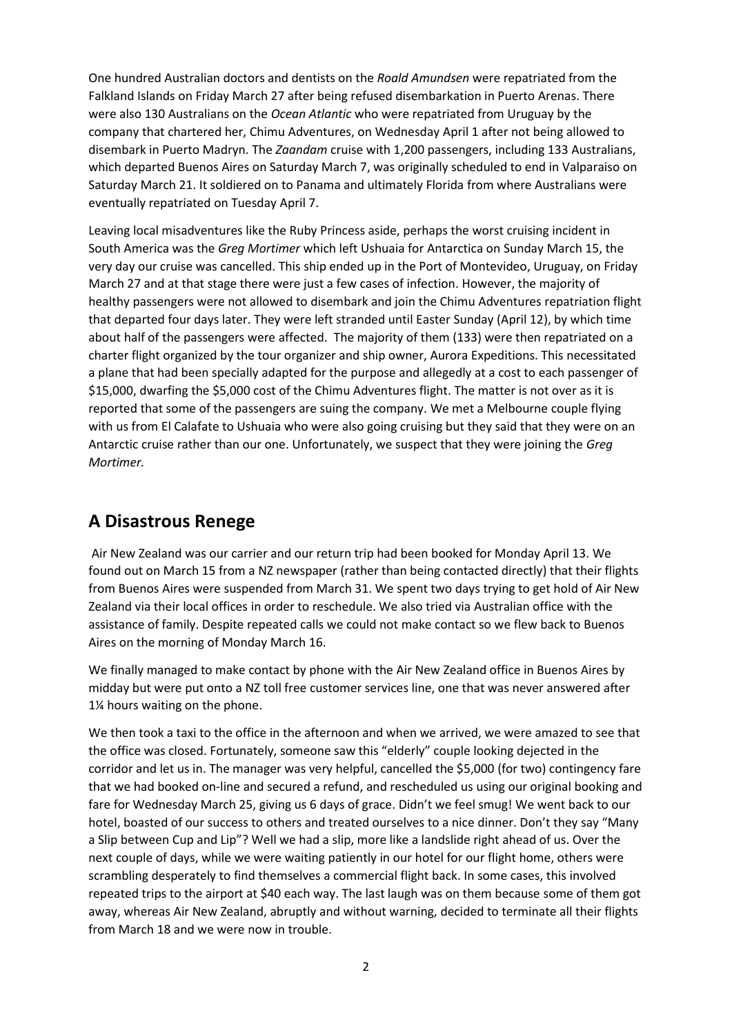One hundred Australian doctors and dentists on the *Roald Amundsen* were repatriated from the Falkland Islands on Friday March 27 after being refused disembarkation in Puerto Arenas. There were also 130 Australians on the *Ocean Atlantic* who were repatriated from Uruguay by the company that chartered her, Chimu Adventures, on Wednesday April 1 after not being allowed to disembark in Puerto Madryn. The *Zaandam* cruise with 1,200 passengers, including 133 Australians, which departed Buenos Aires on Saturday March 7, was originally scheduled to end in Valparaiso on Saturday March 21. It soldiered on to Panama and ultimately Florida from where Australians were eventually repatriated on Tuesday April 7.

Leaving local misadventures like the Ruby Princess aside, perhaps the worst cruising incident in South America was the *Greg Mortimer* which left Ushuaia for Antarctica on Sunday March 15, the very day our cruise was cancelled. This ship ended up in the Port of Montevideo, Uruguay, on Friday March 27 and at that stage there were just a few cases of infection. However, the majority of healthy passengers were not allowed to disembark and join the Chimu Adventures repatriation flight that departed four days later. They were left stranded until Easter Sunday (April 12), by which time about half of the passengers were affected. The majority of them (133) were then repatriated on a charter flight organized by the tour organizer and ship owner, Aurora Expeditions. This necessitated a plane that had been specially adapted for the purpose and allegedly at a cost to each passenger of \$15,000, dwarfing the \$5,000 cost of the Chimu Adventures flight. The matter is not over as it is reported that some of the passengers are suing the company. We met a Melbourne couple flying with us from El Calafate to Ushuaia who were also going cruising but they said that they were on an Antarctic cruise rather than our one. Unfortunately, we suspect that they were joining the *Greg Mortimer.*

### **A Disastrous Renege**

Air New Zealand was our carrier and our return trip had been booked for Monday April 13. We found out on March 15 from a NZ newspaper (rather than being contacted directly) that their flights from Buenos Aires were suspended from March 31. We spent two days trying to get hold of Air New Zealand via their local offices in order to reschedule. We also tried via Australian office with the assistance of family. Despite repeated calls we could not make contact so we flew back to Buenos Aires on the morning of Monday March 16.

We finally managed to make contact by phone with the Air New Zealand office in Buenos Aires by midday but were put onto a NZ toll free customer services line, one that was never answered after 1¼ hours waiting on the phone.

We then took a taxi to the office in the afternoon and when we arrived, we were amazed to see that the office was closed. Fortunately, someone saw this "elderly" couple looking dejected in the corridor and let us in. The manager was very helpful, cancelled the \$5,000 (for two) contingency fare that we had booked on-line and secured a refund, and rescheduled us using our original booking and fare for Wednesday March 25, giving us 6 days of grace. Didn't we feel smug! We went back to our hotel, boasted of our success to others and treated ourselves to a nice dinner. Don't they say "Many a Slip between Cup and Lip"? Well we had a slip, more like a landslide right ahead of us. Over the next couple of days, while we were waiting patiently in our hotel for our flight home, others were scrambling desperately to find themselves a commercial flight back. In some cases, this involved repeated trips to the airport at \$40 each way. The last laugh was on them because some of them got away, whereas Air New Zealand, abruptly and without warning, decided to terminate all their flights from March 18 and we were now in trouble.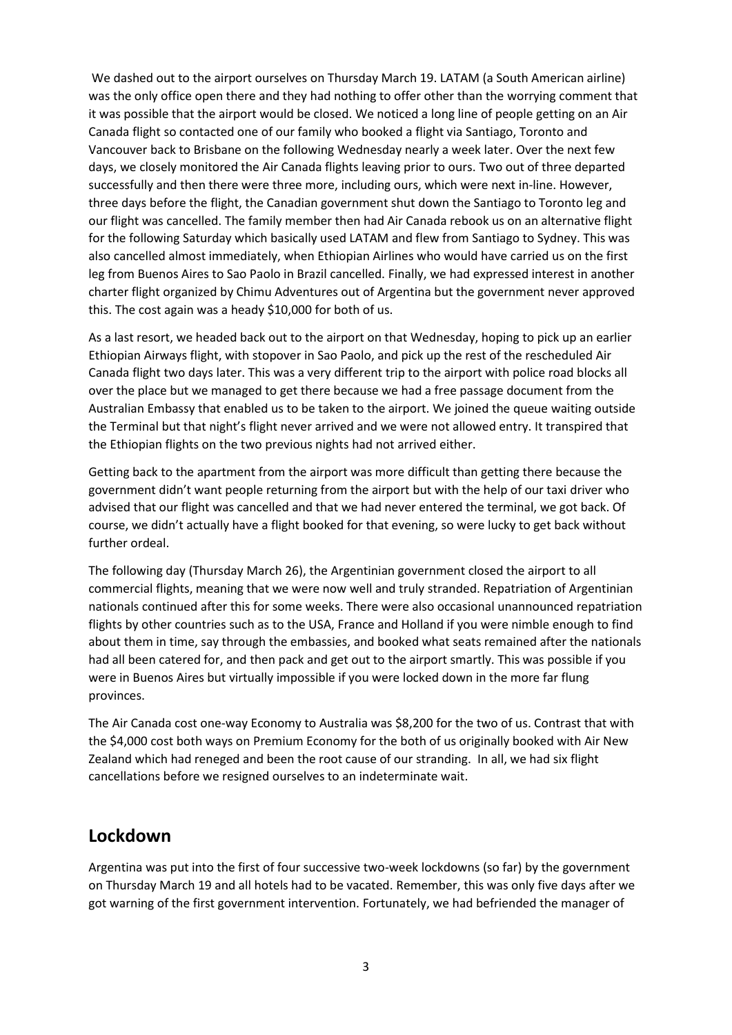We dashed out to the airport ourselves on Thursday March 19. LATAM (a South American airline) was the only office open there and they had nothing to offer other than the worrying comment that it was possible that the airport would be closed. We noticed a long line of people getting on an Air Canada flight so contacted one of our family who booked a flight via Santiago, Toronto and Vancouver back to Brisbane on the following Wednesday nearly a week later. Over the next few days, we closely monitored the Air Canada flights leaving prior to ours. Two out of three departed successfully and then there were three more, including ours, which were next in-line. However, three days before the flight, the Canadian government shut down the Santiago to Toronto leg and our flight was cancelled. The family member then had Air Canada rebook us on an alternative flight for the following Saturday which basically used LATAM and flew from Santiago to Sydney. This was also cancelled almost immediately, when Ethiopian Airlines who would have carried us on the first leg from Buenos Aires to Sao Paolo in Brazil cancelled. Finally, we had expressed interest in another charter flight organized by Chimu Adventures out of Argentina but the government never approved this. The cost again was a heady \$10,000 for both of us.

As a last resort, we headed back out to the airport on that Wednesday, hoping to pick up an earlier Ethiopian Airways flight, with stopover in Sao Paolo, and pick up the rest of the rescheduled Air Canada flight two days later. This was a very different trip to the airport with police road blocks all over the place but we managed to get there because we had a free passage document from the Australian Embassy that enabled us to be taken to the airport. We joined the queue waiting outside the Terminal but that night's flight never arrived and we were not allowed entry. It transpired that the Ethiopian flights on the two previous nights had not arrived either.

Getting back to the apartment from the airport was more difficult than getting there because the government didn't want people returning from the airport but with the help of our taxi driver who advised that our flight was cancelled and that we had never entered the terminal, we got back. Of course, we didn't actually have a flight booked for that evening, so were lucky to get back without further ordeal.

The following day (Thursday March 26), the Argentinian government closed the airport to all commercial flights, meaning that we were now well and truly stranded. Repatriation of Argentinian nationals continued after this for some weeks. There were also occasional unannounced repatriation flights by other countries such as to the USA, France and Holland if you were nimble enough to find about them in time, say through the embassies, and booked what seats remained after the nationals had all been catered for, and then pack and get out to the airport smartly. This was possible if you were in Buenos Aires but virtually impossible if you were locked down in the more far flung provinces.

The Air Canada cost one-way Economy to Australia was \$8,200 for the two of us. Contrast that with the \$4,000 cost both ways on Premium Economy for the both of us originally booked with Air New Zealand which had reneged and been the root cause of our stranding. In all, we had six flight cancellations before we resigned ourselves to an indeterminate wait.

#### **Lockdown**

Argentina was put into the first of four successive two-week lockdowns (so far) by the government on Thursday March 19 and all hotels had to be vacated. Remember, this was only five days after we got warning of the first government intervention. Fortunately, we had befriended the manager of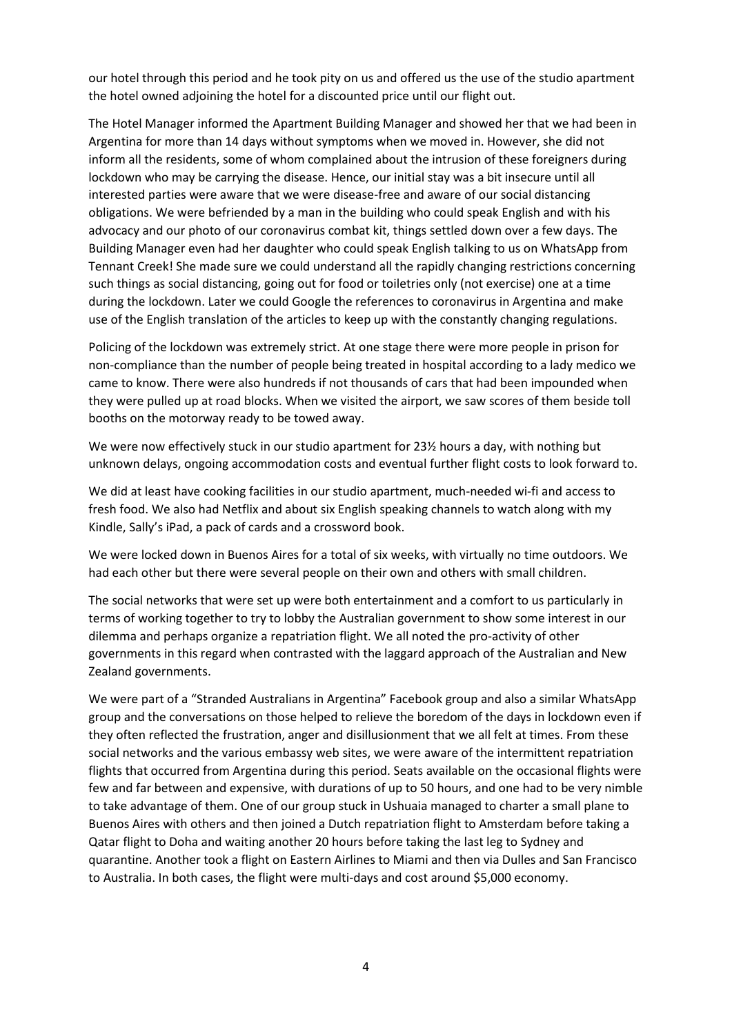our hotel through this period and he took pity on us and offered us the use of the studio apartment the hotel owned adjoining the hotel for a discounted price until our flight out.

The Hotel Manager informed the Apartment Building Manager and showed her that we had been in Argentina for more than 14 days without symptoms when we moved in. However, she did not inform all the residents, some of whom complained about the intrusion of these foreigners during lockdown who may be carrying the disease. Hence, our initial stay was a bit insecure until all interested parties were aware that we were disease-free and aware of our social distancing obligations. We were befriended by a man in the building who could speak English and with his advocacy and our photo of our coronavirus combat kit, things settled down over a few days. The Building Manager even had her daughter who could speak English talking to us on WhatsApp from Tennant Creek! She made sure we could understand all the rapidly changing restrictions concerning such things as social distancing, going out for food or toiletries only (not exercise) one at a time during the lockdown. Later we could Google the references to coronavirus in Argentina and make use of the English translation of the articles to keep up with the constantly changing regulations.

Policing of the lockdown was extremely strict. At one stage there were more people in prison for non-compliance than the number of people being treated in hospital according to a lady medico we came to know. There were also hundreds if not thousands of cars that had been impounded when they were pulled up at road blocks. When we visited the airport, we saw scores of them beside toll booths on the motorway ready to be towed away.

We were now effectively stuck in our studio apartment for 23½ hours a day, with nothing but unknown delays, ongoing accommodation costs and eventual further flight costs to look forward to.

We did at least have cooking facilities in our studio apartment, much-needed wi-fi and access to fresh food. We also had Netflix and about six English speaking channels to watch along with my Kindle, Sally's iPad, a pack of cards and a crossword book.

We were locked down in Buenos Aires for a total of six weeks, with virtually no time outdoors. We had each other but there were several people on their own and others with small children.

The social networks that were set up were both entertainment and a comfort to us particularly in terms of working together to try to lobby the Australian government to show some interest in our dilemma and perhaps organize a repatriation flight. We all noted the pro-activity of other governments in this regard when contrasted with the laggard approach of the Australian and New Zealand governments.

We were part of a "Stranded Australians in Argentina" Facebook group and also a similar WhatsApp group and the conversations on those helped to relieve the boredom of the days in lockdown even if they often reflected the frustration, anger and disillusionment that we all felt at times. From these social networks and the various embassy web sites, we were aware of the intermittent repatriation flights that occurred from Argentina during this period. Seats available on the occasional flights were few and far between and expensive, with durations of up to 50 hours, and one had to be very nimble to take advantage of them. One of our group stuck in Ushuaia managed to charter a small plane to Buenos Aires with others and then joined a Dutch repatriation flight to Amsterdam before taking a Qatar flight to Doha and waiting another 20 hours before taking the last leg to Sydney and quarantine. Another took a flight on Eastern Airlines to Miami and then via Dulles and San Francisco to Australia. In both cases, the flight were multi-days and cost around \$5,000 economy.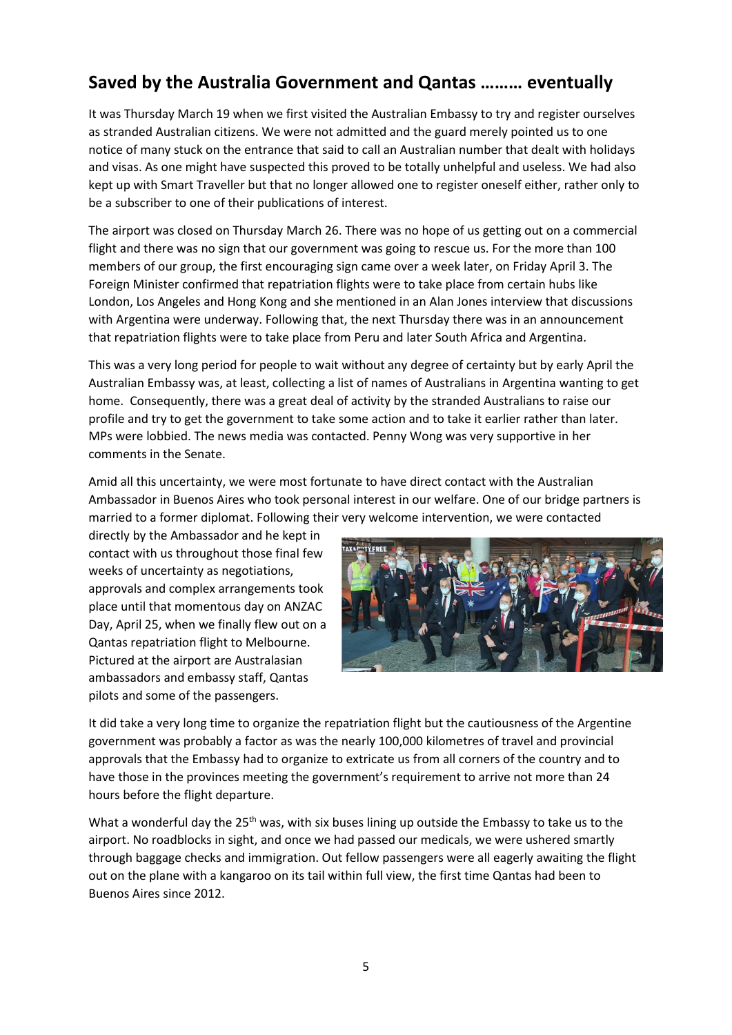# **Saved by the Australia Government and Qantas ……… eventually**

It was Thursday March 19 when we first visited the Australian Embassy to try and register ourselves as stranded Australian citizens. We were not admitted and the guard merely pointed us to one notice of many stuck on the entrance that said to call an Australian number that dealt with holidays and visas. As one might have suspected this proved to be totally unhelpful and useless. We had also kept up with Smart Traveller but that no longer allowed one to register oneself either, rather only to be a subscriber to one of their publications of interest.

The airport was closed on Thursday March 26. There was no hope of us getting out on a commercial flight and there was no sign that our government was going to rescue us. For the more than 100 members of our group, the first encouraging sign came over a week later, on Friday April 3. The Foreign Minister confirmed that repatriation flights were to take place from certain hubs like London, Los Angeles and Hong Kong and she mentioned in an Alan Jones interview that discussions with Argentina were underway. Following that, the next Thursday there was in an announcement that repatriation flights were to take place from Peru and later South Africa and Argentina.

This was a very long period for people to wait without any degree of certainty but by early April the Australian Embassy was, at least, collecting a list of names of Australians in Argentina wanting to get home. Consequently, there was a great deal of activity by the stranded Australians to raise our profile and try to get the government to take some action and to take it earlier rather than later. MPs were lobbied. The news media was contacted. Penny Wong was very supportive in her comments in the Senate.

Amid all this uncertainty, we were most fortunate to have direct contact with the Australian Ambassador in Buenos Aires who took personal interest in our welfare. One of our bridge partners is married to a former diplomat. Following their very welcome intervention, we were contacted

directly by the Ambassador and he kept in contact with us throughout those final few weeks of uncertainty as negotiations, approvals and complex arrangements took place until that momentous day on ANZAC Day, April 25, when we finally flew out on a Qantas repatriation flight to Melbourne. Pictured at the airport are Australasian ambassadors and embassy staff, Qantas pilots and some of the passengers.



It did take a very long time to organize the repatriation flight but the cautiousness of the Argentine government was probably a factor as was the nearly 100,000 kilometres of travel and provincial approvals that the Embassy had to organize to extricate us from all corners of the country and to have those in the provinces meeting the government's requirement to arrive not more than 24 hours before the flight departure.

What a wonderful day the  $25<sup>th</sup>$  was, with six buses lining up outside the Embassy to take us to the airport. No roadblocks in sight, and once we had passed our medicals, we were ushered smartly through baggage checks and immigration. Out fellow passengers were all eagerly awaiting the flight out on the plane with a kangaroo on its tail within full view, the first time Qantas had been to Buenos Aires since 2012.